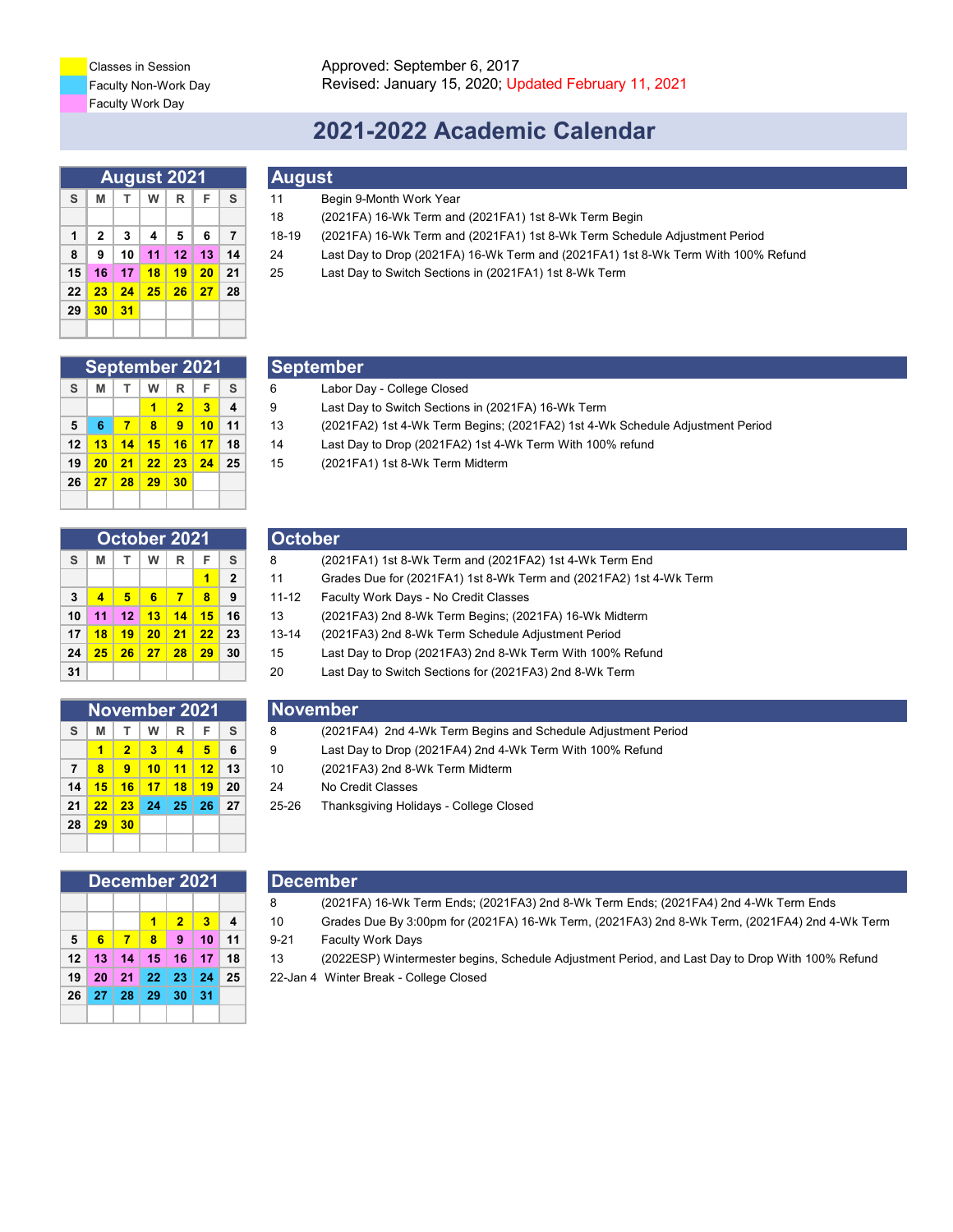Faculty Work Day Classes in Session

# **2021-2022 Academic Calendar**

|    |              |    |    | <b>August 2021</b> |    |    | <b>August</b> |                            |
|----|--------------|----|----|--------------------|----|----|---------------|----------------------------|
| S  | М            | т  | w  | R                  | F  | S  | 11            | Begin 9-Month Work Year    |
|    |              |    |    |                    |    |    | 18            | (2021FA) 16-Wk Term an     |
| 1  | $\mathbf{2}$ | 3  | 4  | 5                  | 6  | 7  | 18-19         | (2021FA) 16-Wk Term an     |
| 8  | 9            | 10 | 11 | 12                 | 13 | 14 | 24            | Last Day to Drop (2021FA   |
| 15 | 16           | 17 | 18 | 19                 | 20 | 21 | 25            | Last Day to Switch Section |
| 22 | 23           | 24 | 25 | 26                 | 27 | 28 |               |                            |
| 29 | 30           | 31 |    |                    |    |    |               |                            |
|    |              |    |    |                    |    |    |               |                            |

| <b>September 2021</b> |    |    |    |                |    |    |  |  |  |
|-----------------------|----|----|----|----------------|----|----|--|--|--|
| S                     | м  | т  | W  | R              | F  | S  |  |  |  |
|                       |    |    |    | $\overline{2}$ | 3  | 4  |  |  |  |
| 5                     | 6  | 7  | 8  | 9              | 10 | 11 |  |  |  |
| 12                    | 13 | 14 | 15 | 16             | 17 | 18 |  |  |  |
| 19                    | 20 | 21 | 22 | 23             | 24 | 25 |  |  |  |
| 26                    | 27 | 28 | 29 | 30             |    |    |  |  |  |

| October 2021 |    |    |    |    |    |              |  |  |  |
|--------------|----|----|----|----|----|--------------|--|--|--|
| S            | М  | т  | w  | R  | F  | S            |  |  |  |
|              |    |    |    |    | 1  | $\mathbf{2}$ |  |  |  |
| 3            | 4  | 5  | 6  | 7  | 8  | 9            |  |  |  |
| 10           | 11 | 12 | 13 | 14 | 15 | 16           |  |  |  |
| 17           | 18 | 19 | 20 | 21 | 22 | 23           |  |  |  |
| 24           | 25 | 26 | 27 | 28 | 29 | 30           |  |  |  |
| 31           |    |    |    |    |    |              |  |  |  |

| <b>November 2021</b> |    |                |    |    |    |    |  |  |  |  |
|----------------------|----|----------------|----|----|----|----|--|--|--|--|
| S                    | м  | т              | W  | R  | F  | S  |  |  |  |  |
|                      | 1  | $\overline{2}$ | 3  | 4  | 5  | 6  |  |  |  |  |
| 7                    | 8  | 9              | 10 | 11 | 12 | 13 |  |  |  |  |
| 14                   | 15 | 16             | 17 | 18 | 19 | 20 |  |  |  |  |
| 21                   | 22 | 23             | 24 | 25 | 26 | 27 |  |  |  |  |
| 28                   | 29 | 30             |    |    |    |    |  |  |  |  |
|                      |    |                |    |    |    |    |  |  |  |  |

| December 2021 |                 |              |                         |                |                   |    |  |  |  |
|---------------|-----------------|--------------|-------------------------|----------------|-------------------|----|--|--|--|
|               |                 |              |                         |                |                   |    |  |  |  |
|               |                 |              | 1                       | $\overline{2}$ | $\blacksquare$ 3  | 4  |  |  |  |
| 5             | $6\phantom{.}6$ | $\mathbf{z}$ | $\overline{\mathbf{8}}$ | $\bullet$      | $\blacksquare$ 10 | 11 |  |  |  |
|               |                 |              | 12 13 14 15 16 17       |                |                   | 18 |  |  |  |
| 19            |                 |              | 20 21 22 23 24          |                |                   | 25 |  |  |  |
|               |                 |              | 26 27 28 29 30          |                | l 31              |    |  |  |  |
|               |                 |              |                         |                |                   |    |  |  |  |

## **August**

- 18 (2021FA) 16-Wk Term and (2021FA1) 1st 8-Wk Term Begin
- **1 2 3 4 5 6 7** 18-19 (2021FA) 16-Wk Term and (2021FA1) 1st 8-Wk Term Schedule Adjustment Period
- **8 9 10 11 12 13 14** 24 Last Day to Drop (2021FA) 16-Wk Term and (2021FA1) 1st 8-Wk Term With 100% Refund
- **15 16 17 18 19 20 21** 25 Last Day to Switch Sections in (2021FA1) 1st 8-Wk Term

### **September**

- **S M T W R F S** 6 Labor Day College Closed
- **1 2 3 4** 9 Last Day to Switch Sections in (2021FA) 16-Wk Term
- **5 6 7 8 9 10 11** 13 (2021FA2) 1st 4-Wk Term Begins; (2021FA2) 1st 4-Wk Schedule Adjustment Period
- **12 13 14 15 16 17 18** 14 Last Day to Drop (2021FA2) 1st 4-Wk Term With 100% refund
- **19 20 21 22 23 24 25** 15 (2021FA1) 1st 8-Wk Term Midterm

### **October**

| November 2021 |    |         |    |    | <b>November</b> |                |           |                                                                    |
|---------------|----|---------|----|----|-----------------|----------------|-----------|--------------------------------------------------------------------|
|               |    |         |    |    |                 |                |           |                                                                    |
| 31            |    |         |    |    |                 |                | 20        | Last Day to Switch Sections for (2021FA3) 2nd 8-Wk Term            |
| 24            | 25 | 26      | 27 | 28 | 29              | 30             | 15        | Last Day to Drop (2021FA3) 2nd 8-Wk Term With 100% Refund          |
| 17            | 18 | 19      | 20 | 21 | 22              | 23             | $13 - 14$ | (2021FA3) 2nd 8-Wk Term Schedule Adjustment Period                 |
| 10            | 11 | $12 \,$ | 13 | 14 | 15              | 16             | 13        | (2021FA3) 2nd 8-Wk Term Begins; (2021FA) 16-Wk Midterm             |
| 3             | 4  | 5       | 6  | 7  | 8               | 9              | $11 - 12$ | Faculty Work Days - No Credit Classes                              |
|               |    |         |    |    |                 | $\overline{2}$ | 11        | Grades Due for (2021FA1) 1st 8-Wk Term and (2021FA2) 1st 4-Wk Term |
| S             | М  |         | W  | R  | F               | S              | 8         | (2021FA1) 1st 8-Wk Term and (2021FA2) 1st 4-Wk Term End            |
|               |    |         |    |    |                 |                |           |                                                                    |

- **S M T W R F S** 8 (2021FA4) 2nd 4-Wk Term Begins and Schedule Adjustment Period
- **1 2 3 4 5 6** 9 Last Day to Drop (2021FA4) 2nd 4-Wk Term With 100% Refund
- **7 8 9 10 11 12 13** 10 (2021FA3) 2nd 8-Wk Term Midterm
- **14 15 16 17 18 19 20** 24 No Credit Classes
- **21 22 23 24 25 26 27** 25-26 Thanksgiving Holidays College Closed

### **December**

- 8 (2021FA) 16-Wk Term Ends; (2021FA3) 2nd 8-Wk Term Ends; (2021FA4) 2nd 4-Wk Term Ends
- **1 2 3 4** 10 Grades Due By 3:00pm for (2021FA) 16-Wk Term, (2021FA3) 2nd 8-Wk Term, (2021FA4) 2nd 4-Wk Term **5 6 7 8 9 10 11** 9-21 Faculty Work Days
- **12 13 14 15 16 17 18** 13 (2022ESP) Wintermester begins, Schedule Adjustment Period, and Last Day to Drop With 100% Refund
- **19 20 21 22 23 24 25** 22-Jan 4 Winter Break College Closed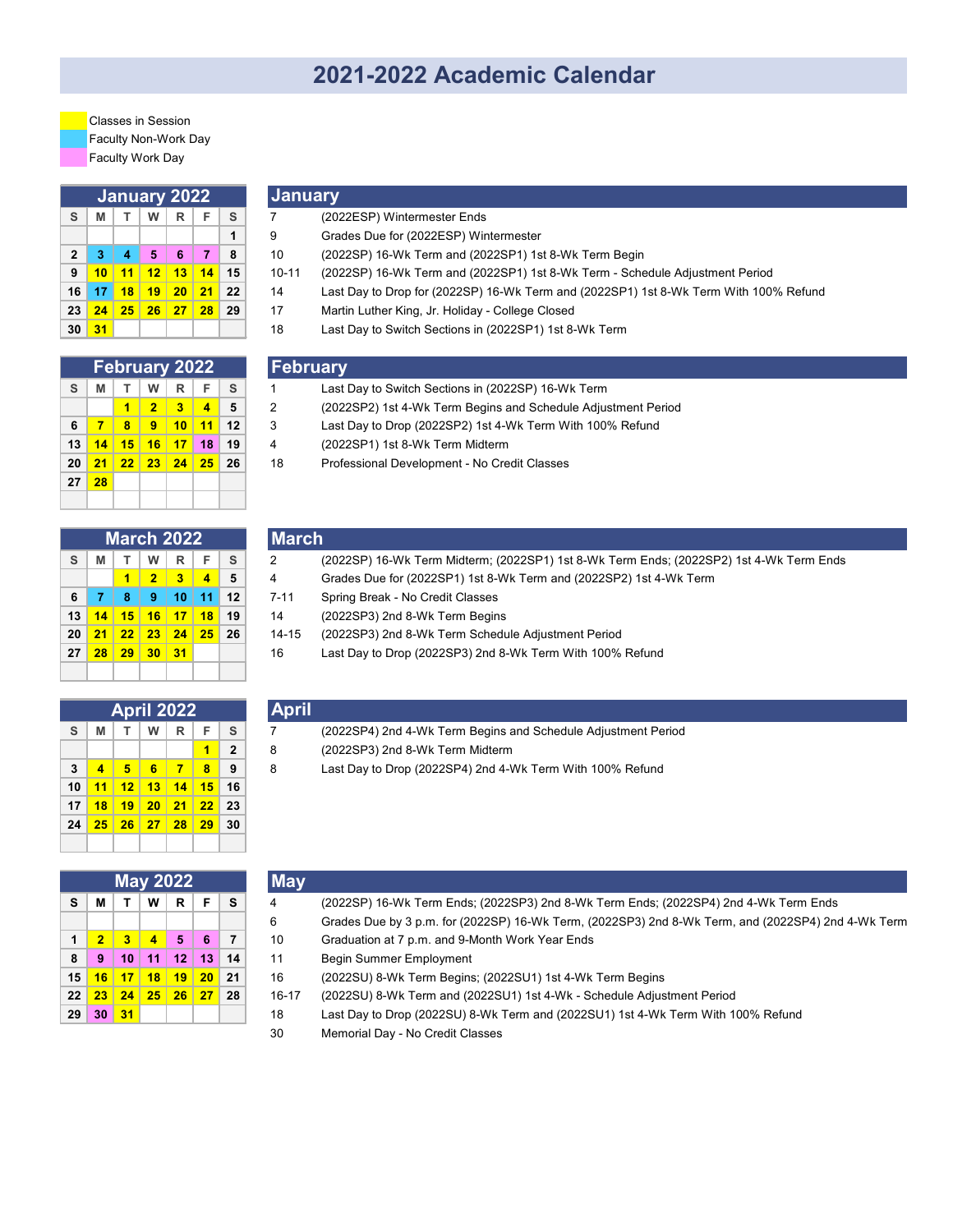# **2021-2022 Academic Calendar**

Faculty Non-Work Day Faculty Work Day Classes in Session

| January 2022 |    |                |    |    |       |    |  |  |  |
|--------------|----|----------------|----|----|-------|----|--|--|--|
| S            | М  | T.             | W  | R  | F     | S  |  |  |  |
|              |    |                |    |    |       | 1  |  |  |  |
| $\mathbf{2}$ | 3  | $\overline{4}$ | 5  | 6  | 7     | 8  |  |  |  |
| 9            | 10 | 11             | 12 | 13 | $-14$ | 15 |  |  |  |
| 16           | 17 | 18             | 19 | 20 | 21    | 22 |  |  |  |
| 23           | 24 | 25             | 26 | 27 | 28    | 29 |  |  |  |
| 30           | 31 |                |    |    |       |    |  |  |  |

| <b>February 2022</b> |    |    |                |    |    |    |  |  |  |  |
|----------------------|----|----|----------------|----|----|----|--|--|--|--|
| S                    | М  |    | w              | R  | F  | S  |  |  |  |  |
|                      |    | 1  | $\overline{2}$ | -3 | 4  | 5  |  |  |  |  |
| 6                    | 7  | 8  | 9              | 10 | 11 | 12 |  |  |  |  |
| 13                   | 14 | 15 | 16             | 17 | 18 | 19 |  |  |  |  |
| 20                   | 21 | 22 | 23             | 24 | 25 | 26 |  |  |  |  |
| 27                   | 28 |    |                |    |    |    |  |  |  |  |
|                      |    |    |                |    |    |    |  |  |  |  |

| <b>March 2022</b> |    |    |                |              |                         |    |  |  |  |
|-------------------|----|----|----------------|--------------|-------------------------|----|--|--|--|
| S                 | М  | т  | w              | $\mathsf{R}$ | F                       | S  |  |  |  |
|                   |    | 1  | $\overline{2}$ | 3            | $\overline{\mathbf{A}}$ | 5  |  |  |  |
| 6                 | 7  | 8  | 9              | 10           | 11                      | 12 |  |  |  |
| 13                | 14 | 15 | 16             | 17           | 18                      | 19 |  |  |  |
| 20                | 21 | 22 | 23             | 24           | 25                      | 26 |  |  |  |
| 27                | 28 | 29 | 30             | 31           |                         |    |  |  |  |
|                   |    |    |                |              |                         |    |  |  |  |

| <u> January</u> |
|-----------------|
|                 |

| S. | M                            | W <sub>1</sub> | . R 1 | <sub>S</sub>                |       | (2022ESP) Wintermester Ends                                                           |
|----|------------------------------|----------------|-------|-----------------------------|-------|---------------------------------------------------------------------------------------|
|    |                              |                |       |                             |       | Grades Due for (2022ESP) Wintermester                                                 |
|    | $2 \mid 3 \mid$              | 5 <sup>1</sup> | $-6$  | -8                          | 10    | (2022SP) 16-Wk Term and (2022SP1) 1st 8-Wk Term Begin                                 |
|    | 9 <mark>10 11 12 13</mark> . |                |       | $14$ 15                     | 10-11 | (2022SP) 16-WK Term and (2022SP1) 1st 8-Wk Term - Schedule Adjustment Period          |
|    | 16   17                      |                |       | <mark>18 19 20 21</mark> 22 | 14    | Last Day to Drop for (2022SP) 16-Wk Term and (2022SP1) 1st 8-Wk Term With 100% Refund |

- **23 24 25 26 27 28 29** 17 Martin Luther King, Jr. Holiday College Closed
- **30 31** 18 Last Day to Switch Sections in (2022SP1) 1st 8-Wk Term

### **February**

- **S M T W R F S** 1 Last Day to Switch Sections in (2022SP) 16-Wk Term
- **1 2 3 4 5** 2 (2022SP2) 1st 4-Wk Term Begins and Schedule Adjustment Period
- **6 7 8 9 10 11 12** 3 Last Day to Drop (2022SP2) 1st 4-Wk Term With 100% Refund
- **13 14 15 16 17 18 19** 4 (2022SP1) 1st 8-Wk Term Midterm
- **20 21 22 23 24 25 26** 18 Professional Development No Credit Classes
- **March S M T W R F S** 2 (2022SP) 16-Wk Term Midterm; (2022SP1) 1st 8-Wk Term Ends; (2022SP2) 1st 4-Wk Term Ends **1 2 3 4 5** 4 Grades Due for (2022SP1) 1st 8-Wk Term and (2022SP2) 1st 4-Wk Term **6 7 8 9 10 11 12** 7-11 Spring Break - No Credit Classes **13 14 15 16 17 18 19** 14 (2022SP3) 2nd 8-Wk Term Begins **20 21 22 23 24 25 26** 14-15 (2022SP3) 2nd 8-Wk Term Schedule Adjustment Period
- **27 28 29 30 31** 16 Last Day to Drop (2022SP3) 2nd 8-Wk Term With 100% Refund

|    |    |     | April 2022 |              |                         |                |
|----|----|-----|------------|--------------|-------------------------|----------------|
| S  | М  | T.  | W          | $\mathsf{R}$ | F                       | S              |
|    |    |     |            |              | 1                       | $\overline{2}$ |
| 3  | 4  | - 5 | $-6$       | -7           | $\overline{\mathbf{8}}$ | 9              |
| 10 | 11 |     | 12 13 14   |              | 15                      | 16             |
| 17 | 18 | 19  | 20         | 21           | 22                      | 23             |
| 24 | 25 |     | 26 27 28   |              | 29                      | 30             |
|    |    |     |            |              |                         |                |

|    |                |    | <b>May 2022</b> |    |    |    |
|----|----------------|----|-----------------|----|----|----|
| S  | М              | т  | W               | R  | F  | S  |
|    |                |    |                 |    |    |    |
| 1  | $\overline{2}$ | 3  | 4               | 5  | 6  | 7  |
| 8  | 9              | 10 | 11              | 12 | 13 | 14 |
| 15 | 16             | 17 | 18              | 19 | 20 | 21 |
| 22 | 23             | 24 | 25              | 26 | 27 | 28 |
| 29 | 30             | 31 |                 |    |    |    |

|--|

- **S M T W R F S** 7 (2022SP4) 2nd 4-Wk Term Begins and Schedule Adjustment Period
- **1 2** 8 (2022SP3) 2nd 8-Wk Term Midterm
- **3 4 5 6 7 8 9** 8 Last Day to Drop (2022SP4) 2nd 4-Wk Term With 100% Refund

|                |            |             |                  | <b>May 2022</b>                               |           |    | <b>May</b> |                                                                                                    |
|----------------|------------|-------------|------------------|-----------------------------------------------|-----------|----|------------|----------------------------------------------------------------------------------------------------|
| s l            | M          |             | W                | R <sub>1</sub>                                | F.        | S. |            | (2022SP) 16-Wk Term Ends; (2022SP3) 2nd 8-Wk Term Ends; (2022SP4) 2nd 4-Wk Term Ends               |
|                |            |             |                  |                                               |           |    | 6          | Grades Due by 3 p.m. for (2022SP) 16-Wk Term, (2022SP3) 2nd 8-Wk Term, and (2022SP4) 2nd 4-Wk Term |
| $\blacksquare$ |            |             | $\blacktriangle$ | 5 <sup>1</sup>                                | -6        |    | 10         | Graduation at 7 p.m. and 9-Month Work Year Ends                                                    |
|                | $8 \mid 9$ | $\sqrt{10}$ | 11               |                                               | $12$   13 | 14 | 11         | <b>Begin Summer Employment</b>                                                                     |
|                |            |             |                  | 15 <mark>  16   17   18   19   20  </mark> 21 |           |    | 16         | (2022SU) 8-Wk Term Begins; (2022SU1) 1st 4-Wk Term Begins                                          |
|                |            |             |                  | 22 <mark>23 24 25 26 27</mark> 28             |           |    | $16-17$    | (2022SU) 8-Wk Term and (2022SU1) 1st 4-Wk - Schedule Adjustment Period                             |

- **29 30 31** 18 Last Day to Drop (2022SU) 8-Wk Term and (2022SU1) 1st 4-Wk Term With 100% Refund
- 30 Memorial Day No Credit Classes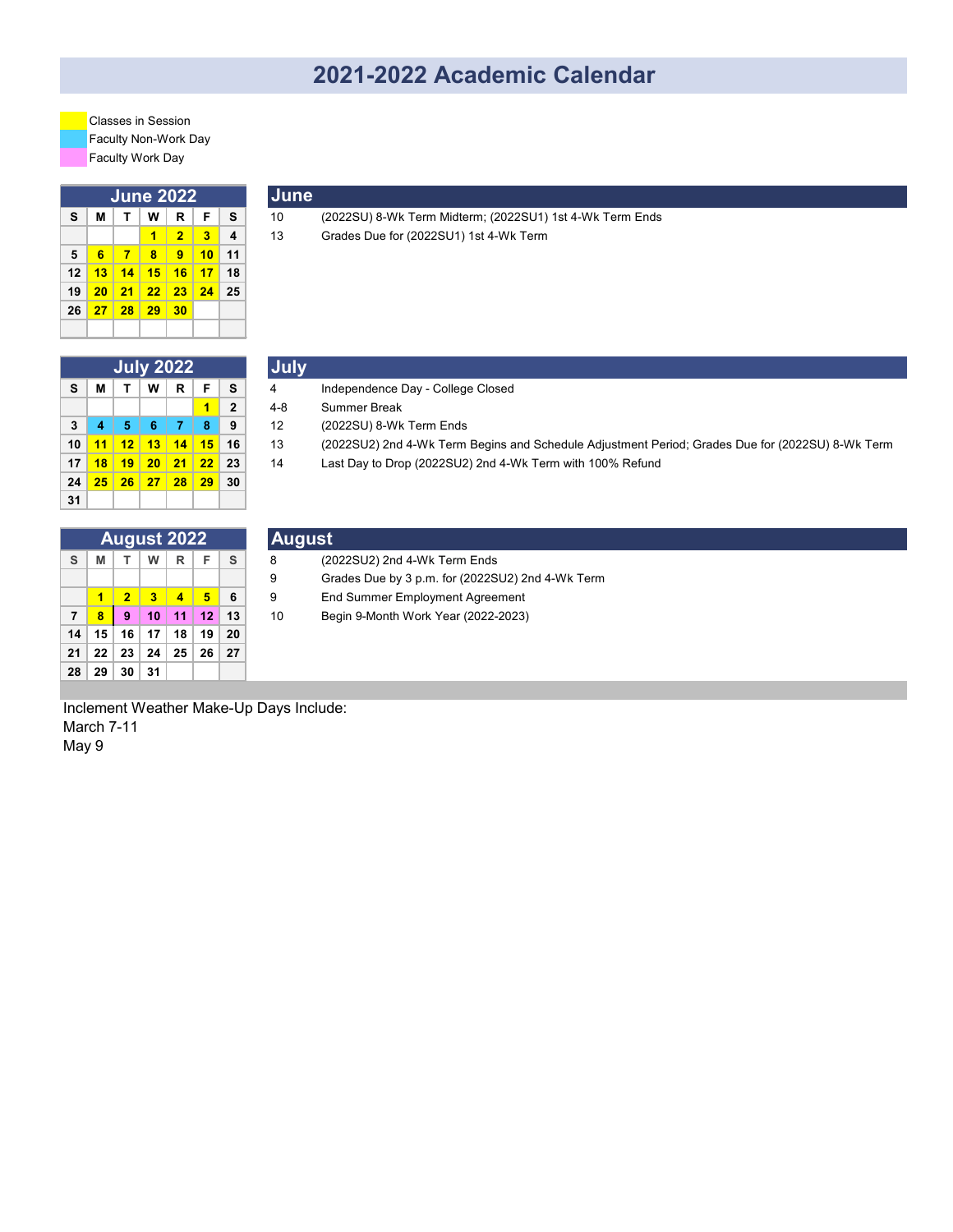# **2021-2022 Academic Calendar**

Faculty Non-Work Day Faculty Work Day Classes in Session

| June 2022 |    |    |    |                |    |                         |  |
|-----------|----|----|----|----------------|----|-------------------------|--|
| S         | М  | т  | w  | R              | F  | S                       |  |
|           |    |    | 1  | $\overline{2}$ | 3  | $\overline{\mathbf{4}}$ |  |
| 5         | 6  | 7  | 8  | 9              | 10 | 11                      |  |
| 12        | 13 | 14 | 15 | 16             | 17 | 18                      |  |
| 19        | 20 | 21 | 22 | 23             | 24 | 25                      |  |
| 26        | 27 | 28 | 29 | 30             |    |                         |  |
|           |    |    |    |                |    |                         |  |

| June |
|------|
|      |

**S M T W R F S** 10 (2022SU) 8-Wk Term Midterm; (2022SU1) 1st 4-Wk Term Ends **1 2 3 4** 13 Grades Due for (2022SU1) 1st 4-Wk Term

|    | <b>July 2022</b> |    |    |    |    |              |  |  |  |
|----|------------------|----|----|----|----|--------------|--|--|--|
| S  | М                | т  | w  | R  | F  | S            |  |  |  |
|    |                  |    |    |    | 1  | $\mathbf{2}$ |  |  |  |
| 3  | 4                | 5  | 6  | 7  | 8  | 9            |  |  |  |
| 10 | 11               | 12 | 13 | 14 | 15 | 16           |  |  |  |
| 17 | 18               | 19 | 20 | 21 | 22 | 23           |  |  |  |
| 24 | 25               | 26 | 27 | 28 | 29 | 30           |  |  |  |
| 31 |                  |    |    |    |    |              |  |  |  |

|                |                        | <b>July 2022</b> |    |    |    | <b>July</b> |                                                                                                  |
|----------------|------------------------|------------------|----|----|----|-------------|--------------------------------------------------------------------------------------------------|
| S.             | м                      | W <sub>1</sub>   | R. | F. | S. | 4           | Independence Day - College Closed                                                                |
|                |                        |                  |    |    |    | 4-8         | Summer Break                                                                                     |
| 3 <sup>1</sup> |                        | 6                |    | 8  | 9  | 12          | (2022SU) 8-Wk Term Ends                                                                          |
|                | 10 <mark>  11  </mark> | 12 13 14 15 16   |    |    |    | 13          | (2022SU2) 2nd 4-Wk Term Begins and Schedule Adjustment Period; Grades Due for (2022SU) 8-Wk Term |
|                | 17 <mark>  18</mark>   | $19$ 20 21 22 23 |    |    |    | 14          | Last Day to Drop (2022SU2) 2nd 4-Wk Term with 100% Refund                                        |
|                |                        |                  |    |    |    |             |                                                                                                  |

|                |    |                | <b>August 2022</b>      |                |    |    |
|----------------|----|----------------|-------------------------|----------------|----|----|
| S              | М  | Τ.             | W                       | R              | F  | S  |
|                |    |                |                         |                |    |    |
|                | 1  | $\overline{2}$ | $\overline{\mathbf{3}}$ | $\overline{4}$ | 5  | 6  |
| $\overline{7}$ | 8  | 9              | 10                      | 11             | 12 | 13 |
| 14             | 15 | 16             | 17                      | 18             | 19 | 20 |
| 21             | 22 | 23             | 24                      | 25             | 26 | 27 |
| 28             | 29 | 30             | 31                      |                |    |    |

|    |   |   | 24 <mark>25 26 27 28 29</mark> 30 |   |              |        |                                                  |  |
|----|---|---|-----------------------------------|---|--------------|--------|--------------------------------------------------|--|
| 31 |   |   |                                   |   |              |        |                                                  |  |
|    |   |   |                                   |   |              |        |                                                  |  |
|    |   |   | <b>August 2022</b>                |   |              | August |                                                  |  |
| S. | M | W | R.                                | Е | <sub>S</sub> |        | (2022SU2) 2nd 4-Wk Term Ends                     |  |
|    |   |   |                                   |   |              | 9      | Grades Due by 3 p.m. for (2022SU2) 2nd 4-Wk Term |  |
|    |   |   |                                   |   |              |        |                                                  |  |

- **1 2 3 4 5 6** 9 End Summer Employment Agreement
- **7 8 9 10 11 12 13** 10 Begin 9-Month Work Year (2022-2023)

Inclement Weather Make-Up Days Include: March 7-11 May 9